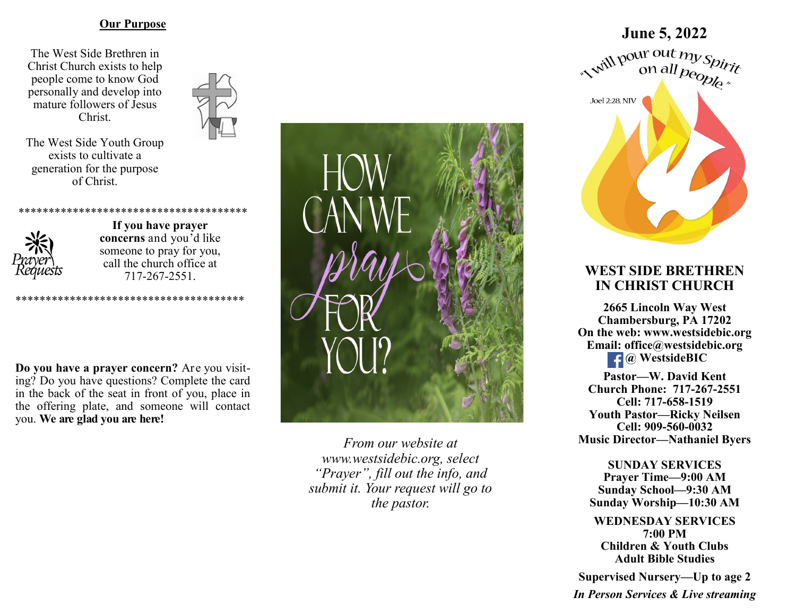#### **Our Purpose**

The West Side Brethren in Christ Church exists to help people come to know God personally and develop into mature followers of Jesus Christ.



The West Side Youth Group exists to cultivate a generation for the purpose of Christ.



**If you have prayer concerns** and you'd like someone to pray for you, call the church office at 717-267-2551.

\*\*\*\*\*\*\*\*\*\*\*\*\*\*\*\*\*\*\*\*\*\*\*\*\*\*\*\*\*\*\*\*\*\*\*\*\*\*

\*\*\*\*\*\*\*\*\*\*\*\*\*\*\*\*\*\*\*\*\*\*\*\*

**Do you have a prayer concern?** Are you visiting? Do you have questions? Complete the card in the back of the seat in front of you, place in the offering plate, and someone will contact you. **We are glad you are here!**



*From our website at www.westsidebic.org, select "Prayer", fill out the info, and submit it. Your request will go to the pastor.*

# **June 5, 2022**<br>
with pour out  $my$  spirit<br>
on all people *r* **Joel 2:28, NIV**

# **WEST SIDE BRETHREN IN CHRIST CHURCH**

**2665 Lincoln Way West Chambersburg, PA 17202 On the web: [www.westsidebic.org](http://www.westsidebic.org) Email: office@westsidebic.org** *g <u>g</u> WestsideBIC* 

**Pastor—W. David Kent Church Phone: 717-267-2551 Cell: 717-658-1519 Youth Pastor—Ricky Neilsen Cell: 909-560-0032 Music Director—Nathaniel Byers**

**SUNDAY SERVICES Prayer Time—9:00 AM Sunday School—9:30 AM Sunday Worship—10:30 AM**

**WEDNESDAY SERVICES 7:00 PM Children & Youth Clubs Adult Bible Studies**

**Supervised Nursery—Up to age 2**

*In Person Services & Live streaming*